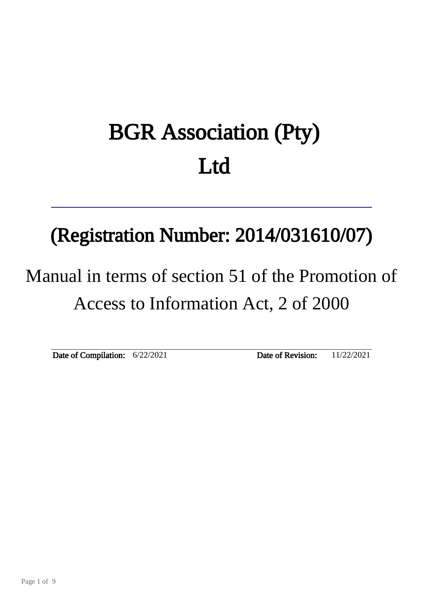# BGR Association (Pty) Ltd

# (Registration Number: 2014/031610/07)

# Manual in terms of section 51 of the Promotion of Access to Information Act, 2 of 2000

Date of Compilation:  $6/22/2021$  Date of Revision:  $11/22/2021$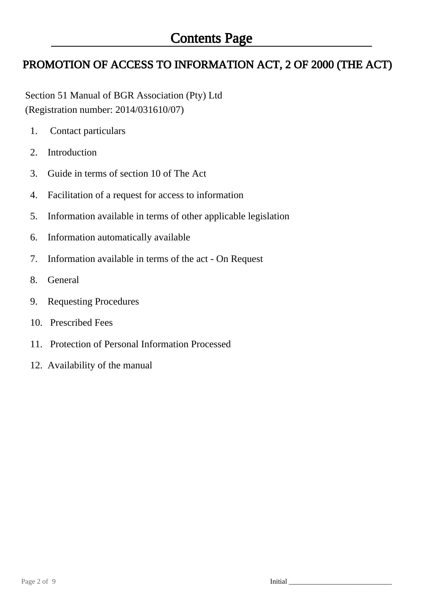# PROMOTION OF ACCESS TO INFORMATION ACT, 2 OF 2000 (THE ACT)

 Section 51 Manual of BGR Association (Pty) Ltd (Registration number: 2014/031610/07)

- 1. Contact particulars
- 2. Introduction
- 3. Guide in terms of section 10 of The Act
- 4. Facilitation of a request for access to information
- 5. Information available in terms of other applicable legislation
- 6. Information automatically available
- 7. Information available in terms of the act On Request
- 8. General
- 9. Requesting Procedures
- 10. Prescribed Fees
- 11. Protection of Personal Information Processed
- 12. Availability of the manual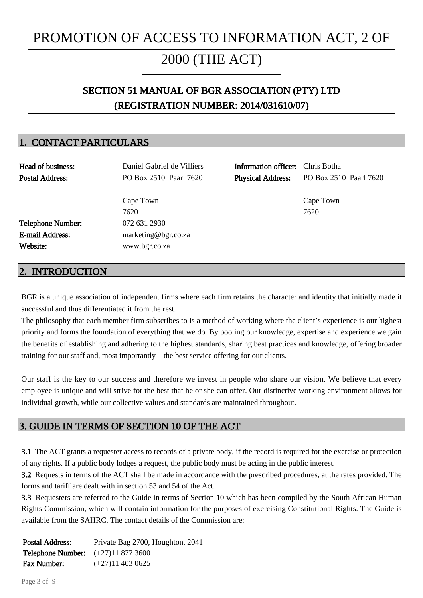# PROMOTION OF ACCESS TO INFORMATION ACT, 2 OF

# 2000 (THE ACT)

Ī

# SECTION 51 MANUAL OF BGR ASSOCIATION (PTY) LTD (REGISTRATION NUMBER: 2014/031610/07)

# 1. CONTACT PARTICULARS

| Head of business:<br><b>Postal Address:</b> | Daniel Gabriel de Villiers<br>PO Box 2510 Paarl 7620 | <b>Information officer:</b> Chris Botha<br><b>Physical Address:</b> | PO Box 2510 Paarl 7620 |
|---------------------------------------------|------------------------------------------------------|---------------------------------------------------------------------|------------------------|
|                                             | Cape Town<br>7620                                    |                                                                     | Cape Town<br>7620      |
| <b>Telephone Number:</b>                    | 072 631 2930                                         |                                                                     |                        |
| <b>E-mail Address:</b>                      | marketing@bgr.co.za                                  |                                                                     |                        |
| Website:                                    | www.bgr.co.za                                        |                                                                     |                        |
|                                             |                                                      |                                                                     |                        |

### 2. INTRODUCTION

BGR is a unique association of independent firms where each firm retains the character and identity that initially made it successful and thus differentiated it from the rest.

The philosophy that each member firm subscribes to is a method of working where the client's experience is our highest priority and forms the foundation of everything that we do. By pooling our knowledge, expertise and experience we gain the benefits of establishing and adhering to the highest standards, sharing best practices and knowledge, offering broader training for our staff and, most importantly – the best service offering for our clients.

Our staff is the key to our success and therefore we invest in people who share our vision. We believe that every employee is unique and will strive for the best that he or she can offer. Our distinctive working environment allows for individual growth, while our collective values and standards are maintained throughout.

### 3. GUIDE IN TERMS OF SECTION 10 OF THE ACT

3.1 The ACT grants a requester access to records of a private body, if the record is required for the exercise or protection of any rights. If a public body lodges a request, the public body must be acting in the public interest.

3.2 Requests in terms of the ACT shall be made in accordance with the prescribed procedures, at the rates provided. The forms and tariff are dealt with in section 53 and 54 of the Act.

3.3 Requesters are referred to the Guide in terms of Section 10 which has been compiled by the South African Human Rights Commission, which will contain information for the purposes of exercising Constitutional Rights. The Guide is available from the SAHRC. The contact details of the Commission are:

Postal Address: Private Bag 2700, Houghton, 2041 Telephone Number: (+27)11 877 3600 Fax Number: (+27)11 403 0625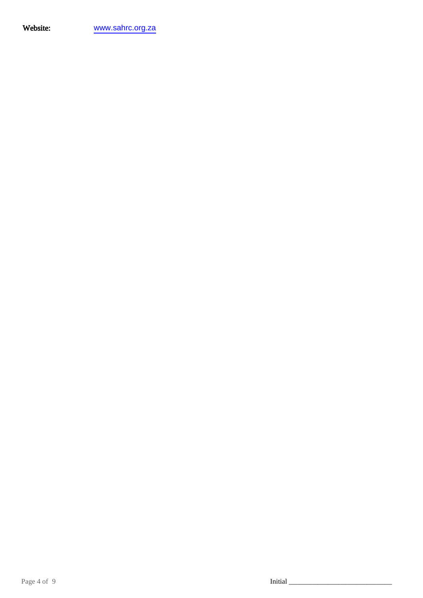Website: <www.sahrc.org.za>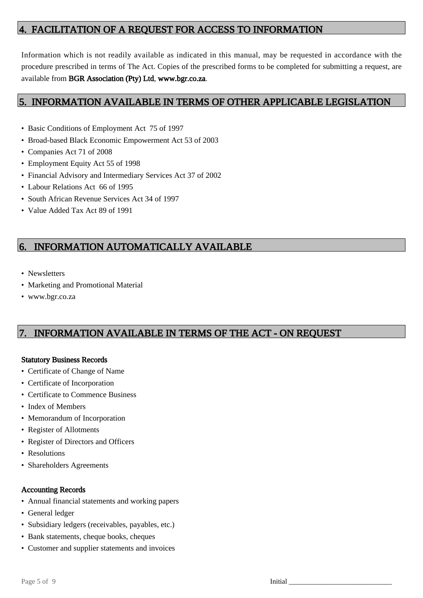## 4. FACILITATION OF A REQUEST FOR ACCESS TO INFORMATION

Information which is not readily available as indicated in this manual, may be requested in accordance with the procedure prescribed in terms of The Act. Copies of the prescribed forms to be completed for submitting a request, are available from BGR Association (Pty) Ltd, www.bgr.co.za.

## 5. INFORMATION AVAILABLE IN TERMS OF OTHER APPLICABLE LEGISLATION

- Basic Conditions of Employment Act 75 of 1997
- Broad-based Black Economic Empowerment Act 53 of 2003
- Companies Act 71 of 2008
- Employment Equity Act 55 of 1998
- Financial Advisory and Intermediary Services Act 37 of 2002
- Labour Relations Act 66 of 1995
- South African Revenue Services Act 34 of 1997
- Value Added Tax Act 89 of 1991

# 6. INFORMATION AUTOMATICALLY AVAILABLE

- Newsletters
- Marketing and Promotional Material
- www.bgr.co.za

# 7. INFORMATION AVAILABLE IN TERMS OF THE ACT - ON REQUEST

#### Statutory Business Records

- Certificate of Change of Name
- Certificate of Incorporation
- Certificate to Commence Business
- Index of Members
- Memorandum of Incorporation
- Register of Allotments
- Register of Directors and Officers
- Resolutions
- Shareholders Agreements

#### Accounting Records

- Annual financial statements and working papers
- General ledger
- Subsidiary ledgers (receivables, payables, etc.)
- Bank statements, cheque books, cheques
- Customer and supplier statements and invoices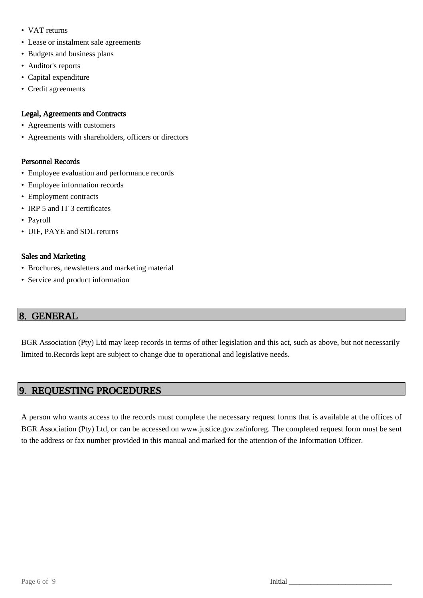- VAT returns
- Lease or instalment sale agreements
- Budgets and business plans
- Auditor's reports
- Capital expenditure
- Credit agreements

#### Legal, Agreements and Contracts

- Agreements with customers
- Agreements with shareholders, officers or directors

#### Personnel Records

- Employee evaluation and performance records
- Employee information records
- Employment contracts
- IRP 5 and IT 3 certificates
- Payroll
- UIF, PAYE and SDL returns

#### Sales and Marketing

- Brochures, newsletters and marketing material
- Service and product information

## 8. GENERAL

BGR Association (Pty) Ltd may keep records in terms of other legislation and this act, such as above, but not necessarily limited to.Records kept are subject to change due to operational and legislative needs.

# 9. REQUESTING PROCEDURES

A person who wants access to the records must complete the necessary request forms that is available at the offices of BGR Association (Pty) Ltd, or can be accessed on www.justice.gov.za/inforeg. The completed request form must be sent to the address or fax number provided in this manual and marked for the attention of the Information Officer.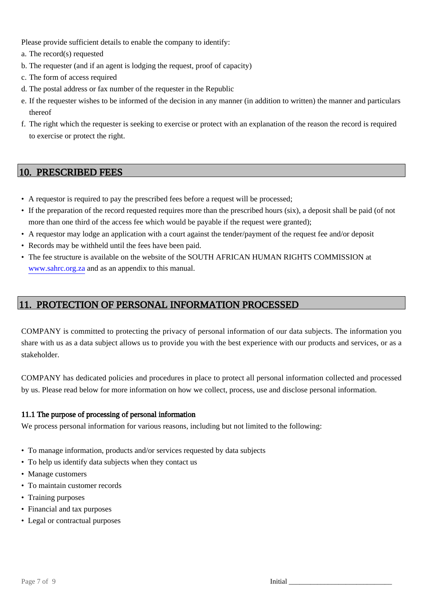Please provide sufficient details to enable the company to identify:

- a. The record(s) requested
- b. The requester (and if an agent is lodging the request, proof of capacity)
- c. The form of access required
- d. The postal address or fax number of the requester in the Republic
- e. If the requester wishes to be informed of the decision in any manner (in addition to written) the manner and particulars thereof
- f. The right which the requester is seeking to exercise or protect with an explanation of the reason the record is required to exercise or protect the right.

## 10. PRESCRIBED FEES

- A requestor is required to pay the prescribed fees before a request will be processed;
- If the preparation of the record requested requires more than the prescribed hours (six), a deposit shall be paid (of not more than one third of the access fee which would be payable if the request were granted);
- A requestor may lodge an application with a court against the tender/payment of the request fee and/or deposit
- Records may be withheld until the fees have been paid.
- The fee structure is available on the website of the SOUTH AFRICAN HUMAN RIGHTS COMMISSION at www.sahrc.org.za and as an appendix to this manual.

## 11. PROTECTION OF PERSONAL INFORMATION PROCESSED

COMPANY is committed to protecting the privacy of personal information of our data subjects. The information you share with us as a data subject allows us to provide you with the best experience with our products and services, or as a stakeholder.

COMPANY has dedicated policies and procedures in place to protect all personal information collected and processed by us. Please read below for more information on how we collect, process, use and disclose personal information.

#### 11.1 The purpose of processing of personal information

We process personal information for various reasons, including but not limited to the following:

- To manage information, products and/or services requested by data subjects
- To help us identify data subjects when they contact us
- Manage customers
- To maintain customer records
- Training purposes
- Financial and tax purposes
- Legal or contractual purposes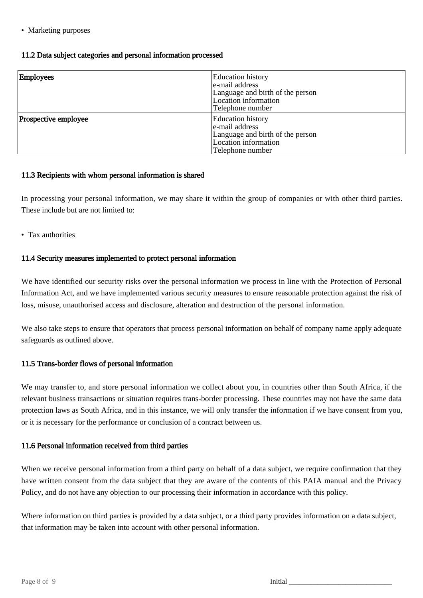#### • Marketing purposes

#### 11.2 Data subject categories and personal information processed

| Employees            | <b>Education</b> history<br>e-mail address<br>Language and birth of the person<br>Location information<br>Telephone number |
|----------------------|----------------------------------------------------------------------------------------------------------------------------|
| Prospective employee | <b>Education</b> history<br>e-mail address<br>Language and birth of the person<br>Location information<br>Telephone number |

#### 11.3 Recipients with whom personal information is shared

In processing your personal information, we may share it within the group of companies or with other third parties. These include but are not limited to:

• Tax authorities

#### 11.4 Security measures implemented to protect personal information

We have identified our security risks over the personal information we process in line with the Protection of Personal Information Act, and we have implemented various security measures to ensure reasonable protection against the risk of loss, misuse, unauthorised access and disclosure, alteration and destruction of the personal information.

We also take steps to ensure that operators that process personal information on behalf of company name apply adequate safeguards as outlined above.

#### 11.5 Trans-border flows of personal information

We may transfer to, and store personal information we collect about you, in countries other than South Africa, if the relevant business transactions or situation requires trans-border processing. These countries may not have the same data protection laws as South Africa, and in this instance, we will only transfer the information if we have consent from you, or it is necessary for the performance or conclusion of a contract between us.

#### 11.6 Personal information received from third parties

When we receive personal information from a third party on behalf of a data subject, we require confirmation that they have written consent from the data subject that they are aware of the contents of this PAIA manual and the Privacy Policy, and do not have any objection to our processing their information in accordance with this policy.

Where information on third parties is provided by a data subject, or a third party provides information on a data subject, that information may be taken into account with other personal information.